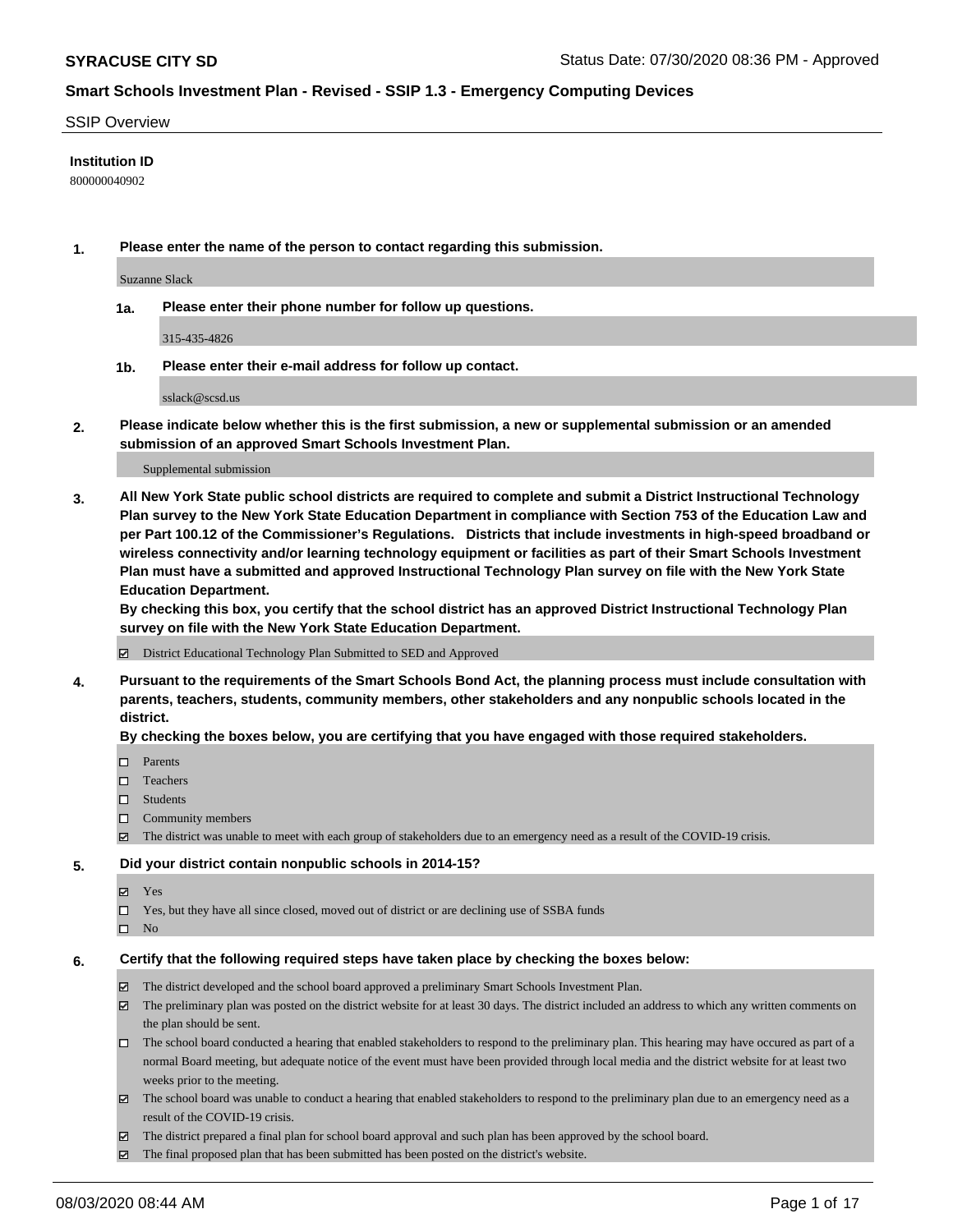#### SSIP Overview

### **Institution ID**

800000040902

**1. Please enter the name of the person to contact regarding this submission.**

Suzanne Slack

**1a. Please enter their phone number for follow up questions.**

315-435-4826

**1b. Please enter their e-mail address for follow up contact.**

sslack@scsd.us

**2. Please indicate below whether this is the first submission, a new or supplemental submission or an amended submission of an approved Smart Schools Investment Plan.**

#### Supplemental submission

**3. All New York State public school districts are required to complete and submit a District Instructional Technology Plan survey to the New York State Education Department in compliance with Section 753 of the Education Law and per Part 100.12 of the Commissioner's Regulations. Districts that include investments in high-speed broadband or wireless connectivity and/or learning technology equipment or facilities as part of their Smart Schools Investment Plan must have a submitted and approved Instructional Technology Plan survey on file with the New York State Education Department.** 

**By checking this box, you certify that the school district has an approved District Instructional Technology Plan survey on file with the New York State Education Department.**

District Educational Technology Plan Submitted to SED and Approved

**4. Pursuant to the requirements of the Smart Schools Bond Act, the planning process must include consultation with parents, teachers, students, community members, other stakeholders and any nonpublic schools located in the district.** 

#### **By checking the boxes below, you are certifying that you have engaged with those required stakeholders.**

- **D** Parents
- □ Teachers
- □ Students
- $\Box$  Community members
- The district was unable to meet with each group of stakeholders due to an emergency need as a result of the COVID-19 crisis.

#### **5. Did your district contain nonpublic schools in 2014-15?**

- **冈** Yes
- Yes, but they have all since closed, moved out of district or are declining use of SSBA funds
- $\square$  No

#### **6. Certify that the following required steps have taken place by checking the boxes below:**

- The district developed and the school board approved a preliminary Smart Schools Investment Plan.
- $\boxtimes$  The preliminary plan was posted on the district website for at least 30 days. The district included an address to which any written comments on the plan should be sent.
- The school board conducted a hearing that enabled stakeholders to respond to the preliminary plan. This hearing may have occured as part of a normal Board meeting, but adequate notice of the event must have been provided through local media and the district website for at least two weeks prior to the meeting.
- The school board was unable to conduct a hearing that enabled stakeholders to respond to the preliminary plan due to an emergency need as a result of the COVID-19 crisis.
- The district prepared a final plan for school board approval and such plan has been approved by the school board.
- $\boxtimes$  The final proposed plan that has been submitted has been posted on the district's website.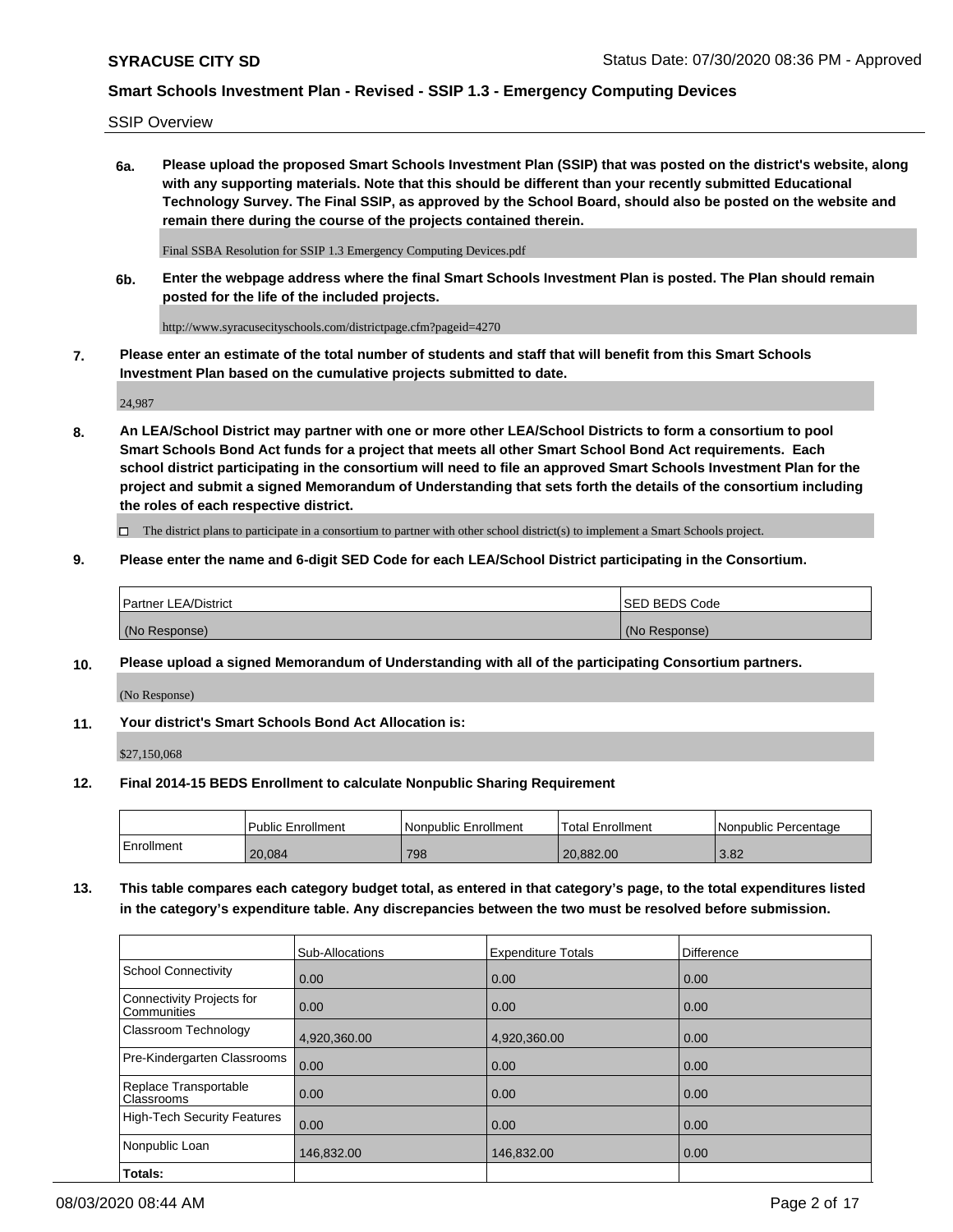SSIP Overview

**6a. Please upload the proposed Smart Schools Investment Plan (SSIP) that was posted on the district's website, along with any supporting materials. Note that this should be different than your recently submitted Educational Technology Survey. The Final SSIP, as approved by the School Board, should also be posted on the website and remain there during the course of the projects contained therein.**

Final SSBA Resolution for SSIP 1.3 Emergency Computing Devices.pdf

**6b. Enter the webpage address where the final Smart Schools Investment Plan is posted. The Plan should remain posted for the life of the included projects.**

http://www.syracusecityschools.com/districtpage.cfm?pageid=4270

**7. Please enter an estimate of the total number of students and staff that will benefit from this Smart Schools Investment Plan based on the cumulative projects submitted to date.**

24,987

**8. An LEA/School District may partner with one or more other LEA/School Districts to form a consortium to pool Smart Schools Bond Act funds for a project that meets all other Smart School Bond Act requirements. Each school district participating in the consortium will need to file an approved Smart Schools Investment Plan for the project and submit a signed Memorandum of Understanding that sets forth the details of the consortium including the roles of each respective district.**

 $\Box$  The district plans to participate in a consortium to partner with other school district(s) to implement a Smart Schools project.

### **9. Please enter the name and 6-digit SED Code for each LEA/School District participating in the Consortium.**

| <b>Partner LEA/District</b> | ISED BEDS Code |
|-----------------------------|----------------|
| (No Response)               | (No Response)  |

### **10. Please upload a signed Memorandum of Understanding with all of the participating Consortium partners.**

(No Response)

### **11. Your district's Smart Schools Bond Act Allocation is:**

\$27,150,068

#### **12. Final 2014-15 BEDS Enrollment to calculate Nonpublic Sharing Requirement**

|            | Public Enrollment | Nonpublic Enrollment | Total Enrollment | l Nonpublic Percentage |
|------------|-------------------|----------------------|------------------|------------------------|
| Enrollment | 20,084            | 798                  | 20.882.00        | 3.82                   |

**13. This table compares each category budget total, as entered in that category's page, to the total expenditures listed in the category's expenditure table. Any discrepancies between the two must be resolved before submission.**

|                                          | Sub-Allocations | <b>Expenditure Totals</b> | Difference |
|------------------------------------------|-----------------|---------------------------|------------|
| <b>School Connectivity</b>               | 0.00            | 0.00                      | 0.00       |
| Connectivity Projects for<br>Communities | 0.00            | 0.00                      | 0.00       |
| Classroom Technology                     | 4,920,360.00    | 4,920,360.00              | 0.00       |
| Pre-Kindergarten Classrooms              | 0.00            | 0.00                      | 0.00       |
| Replace Transportable<br>Classrooms      | 0.00            | 0.00                      | 0.00       |
| <b>High-Tech Security Features</b>       | 0.00            | 0.00                      | 0.00       |
| Nonpublic Loan                           | 146,832.00      | 146,832.00                | 0.00       |
| Totals:                                  |                 |                           |            |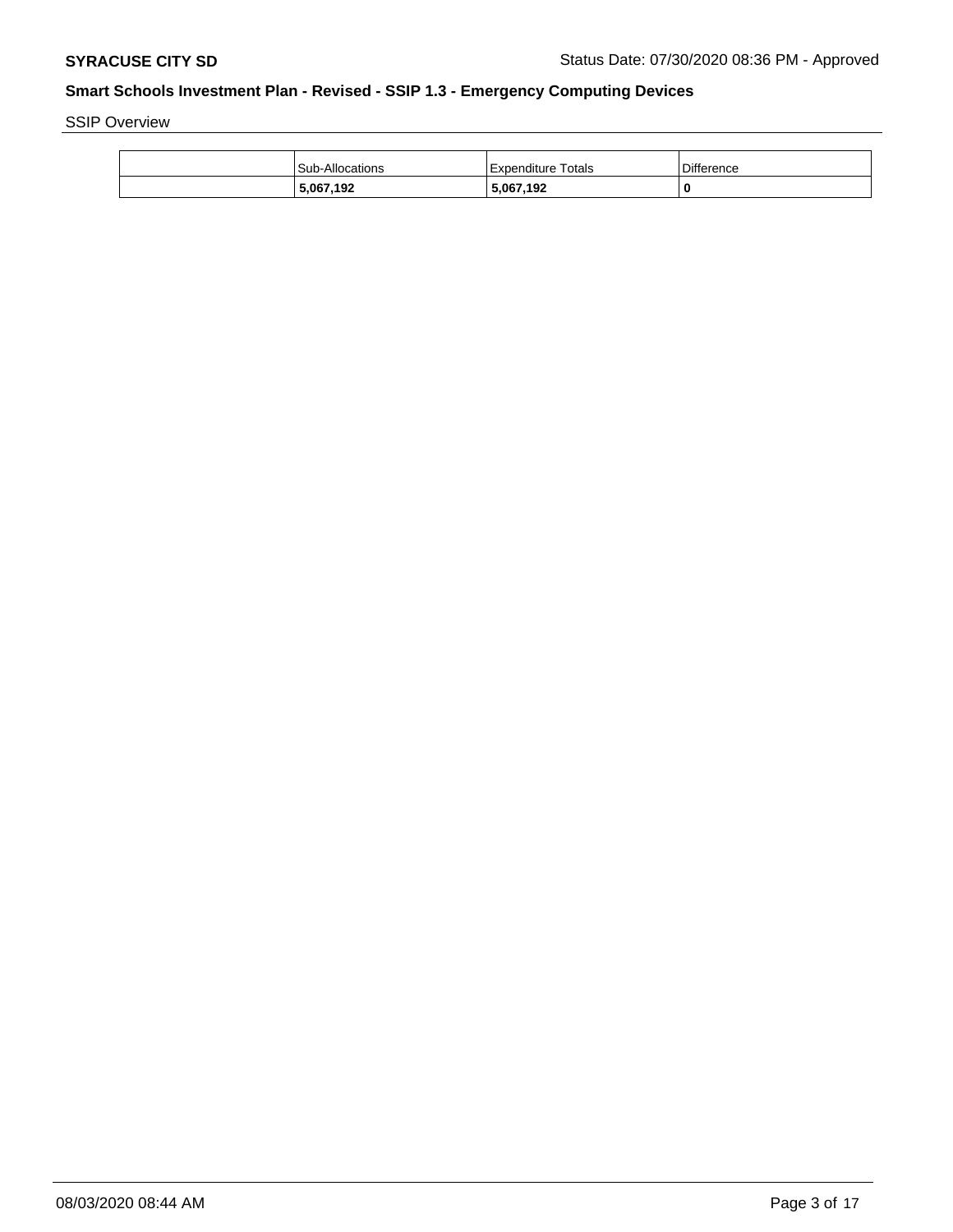SSIP Overview

| Sub-Allocations | Expenditure Totals | <b>Difference</b> |
|-----------------|--------------------|-------------------|
| 5,067,192       | 5,067,192          |                   |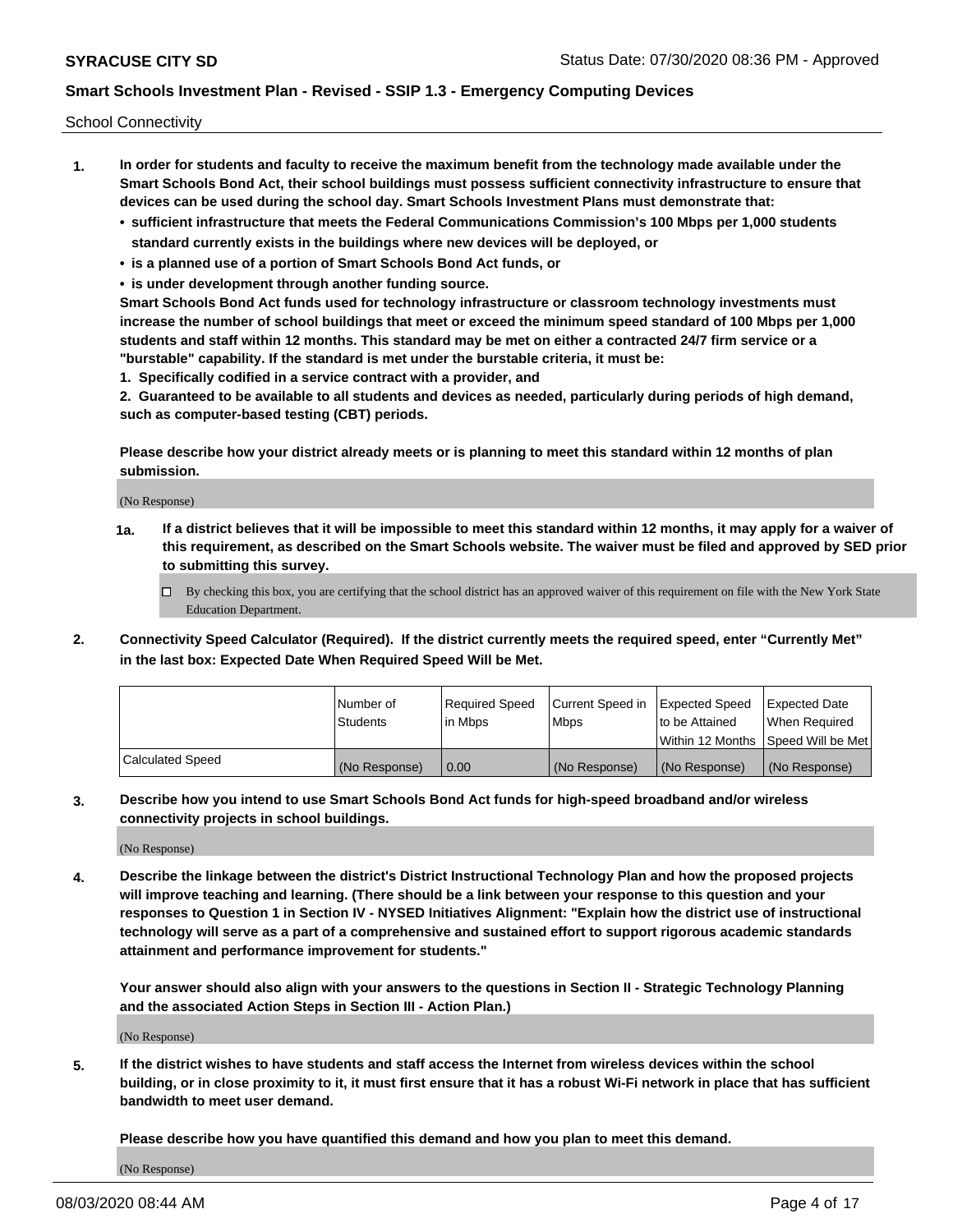School Connectivity

- **1. In order for students and faculty to receive the maximum benefit from the technology made available under the Smart Schools Bond Act, their school buildings must possess sufficient connectivity infrastructure to ensure that devices can be used during the school day. Smart Schools Investment Plans must demonstrate that:**
	- **• sufficient infrastructure that meets the Federal Communications Commission's 100 Mbps per 1,000 students standard currently exists in the buildings where new devices will be deployed, or**
	- **• is a planned use of a portion of Smart Schools Bond Act funds, or**
	- **• is under development through another funding source.**

**Smart Schools Bond Act funds used for technology infrastructure or classroom technology investments must increase the number of school buildings that meet or exceed the minimum speed standard of 100 Mbps per 1,000 students and staff within 12 months. This standard may be met on either a contracted 24/7 firm service or a "burstable" capability. If the standard is met under the burstable criteria, it must be:**

**1. Specifically codified in a service contract with a provider, and**

**2. Guaranteed to be available to all students and devices as needed, particularly during periods of high demand, such as computer-based testing (CBT) periods.**

**Please describe how your district already meets or is planning to meet this standard within 12 months of plan submission.**

(No Response)

**1a. If a district believes that it will be impossible to meet this standard within 12 months, it may apply for a waiver of this requirement, as described on the Smart Schools website. The waiver must be filed and approved by SED prior to submitting this survey.**

 $\Box$  By checking this box, you are certifying that the school district has an approved waiver of this requirement on file with the New York State Education Department.

**2. Connectivity Speed Calculator (Required). If the district currently meets the required speed, enter "Currently Met" in the last box: Expected Date When Required Speed Will be Met.**

|                  | l Number of     | Required Speed | Current Speed in | Expected Speed  | Expected Date                           |
|------------------|-----------------|----------------|------------------|-----------------|-----------------------------------------|
|                  | <b>Students</b> | In Mbps        | l Mbps           | to be Attained  | When Required                           |
|                  |                 |                |                  |                 | l Within 12 Months ISpeed Will be Met l |
| Calculated Speed | (No Response)   | 0.00           | (No Response)    | l (No Response) | l (No Response)                         |

**3. Describe how you intend to use Smart Schools Bond Act funds for high-speed broadband and/or wireless connectivity projects in school buildings.**

(No Response)

**4. Describe the linkage between the district's District Instructional Technology Plan and how the proposed projects will improve teaching and learning. (There should be a link between your response to this question and your responses to Question 1 in Section IV - NYSED Initiatives Alignment: "Explain how the district use of instructional technology will serve as a part of a comprehensive and sustained effort to support rigorous academic standards attainment and performance improvement for students."** 

**Your answer should also align with your answers to the questions in Section II - Strategic Technology Planning and the associated Action Steps in Section III - Action Plan.)**

(No Response)

**5. If the district wishes to have students and staff access the Internet from wireless devices within the school building, or in close proximity to it, it must first ensure that it has a robust Wi-Fi network in place that has sufficient bandwidth to meet user demand.**

**Please describe how you have quantified this demand and how you plan to meet this demand.**

(No Response)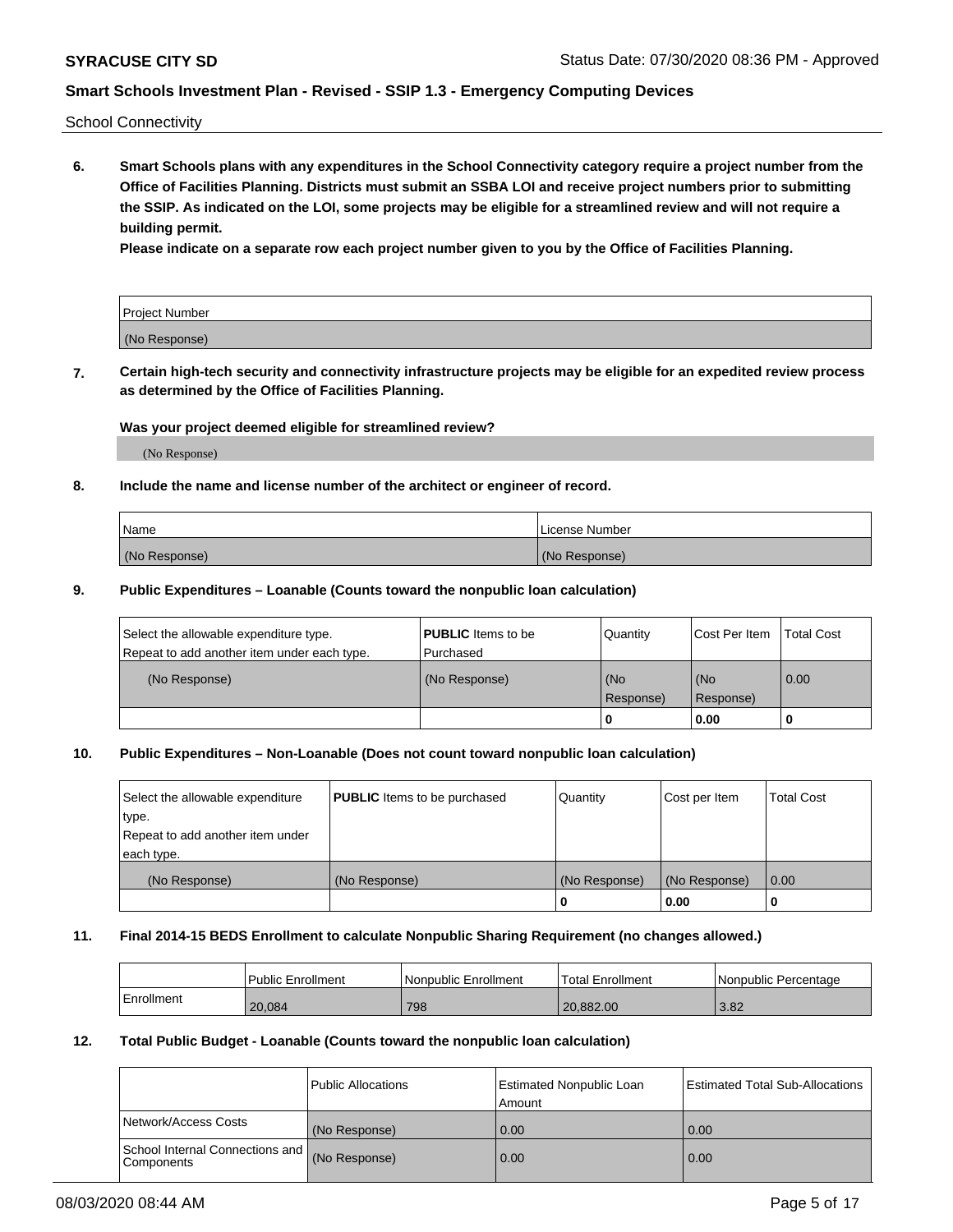School Connectivity

**6. Smart Schools plans with any expenditures in the School Connectivity category require a project number from the Office of Facilities Planning. Districts must submit an SSBA LOI and receive project numbers prior to submitting the SSIP. As indicated on the LOI, some projects may be eligible for a streamlined review and will not require a building permit.**

**Please indicate on a separate row each project number given to you by the Office of Facilities Planning.**

| Project Number |  |
|----------------|--|
| (No Response)  |  |

**7. Certain high-tech security and connectivity infrastructure projects may be eligible for an expedited review process as determined by the Office of Facilities Planning.**

### **Was your project deemed eligible for streamlined review?**

(No Response)

### **8. Include the name and license number of the architect or engineer of record.**

| Name          | License Number |
|---------------|----------------|
| (No Response) | (No Response)  |

### **9. Public Expenditures – Loanable (Counts toward the nonpublic loan calculation)**

| Select the allowable expenditure type.<br>Repeat to add another item under each type. | <b>PUBLIC</b> Items to be<br>l Purchased | Quantity           | Cost Per Item    | <b>Total Cost</b> |
|---------------------------------------------------------------------------------------|------------------------------------------|--------------------|------------------|-------------------|
| (No Response)                                                                         | (No Response)                            | l (No<br>Response) | (No<br>Response) | $\overline{0.00}$ |
|                                                                                       |                                          | 0                  | 0.00             |                   |

# **10. Public Expenditures – Non-Loanable (Does not count toward nonpublic loan calculation)**

| Select the allowable expenditure<br>type.<br>Repeat to add another item under<br>each type. | <b>PUBLIC</b> Items to be purchased | Quantity      | Cost per Item | <b>Total Cost</b> |
|---------------------------------------------------------------------------------------------|-------------------------------------|---------------|---------------|-------------------|
| (No Response)                                                                               | (No Response)                       | (No Response) | (No Response) | 0.00              |
|                                                                                             |                                     |               | 0.00          |                   |

#### **11. Final 2014-15 BEDS Enrollment to calculate Nonpublic Sharing Requirement (no changes allowed.)**

|            | Public Enrollment | l Nonpublic Enrollment | <b>Total Enrollment</b> | Nonpublic Percentage |
|------------|-------------------|------------------------|-------------------------|----------------------|
| Enrollment | 20.084            | 798                    | 20.882.00               | 3.82                 |

#### **12. Total Public Budget - Loanable (Counts toward the nonpublic loan calculation)**

|                                                      | Public Allocations | <b>Estimated Nonpublic Loan</b><br>Amount | Estimated Total Sub-Allocations |
|------------------------------------------------------|--------------------|-------------------------------------------|---------------------------------|
| Network/Access Costs                                 | (No Response)      | 0.00                                      | 0.00                            |
| School Internal Connections and<br><b>Components</b> | (No Response)      | 0.00                                      | 0.00                            |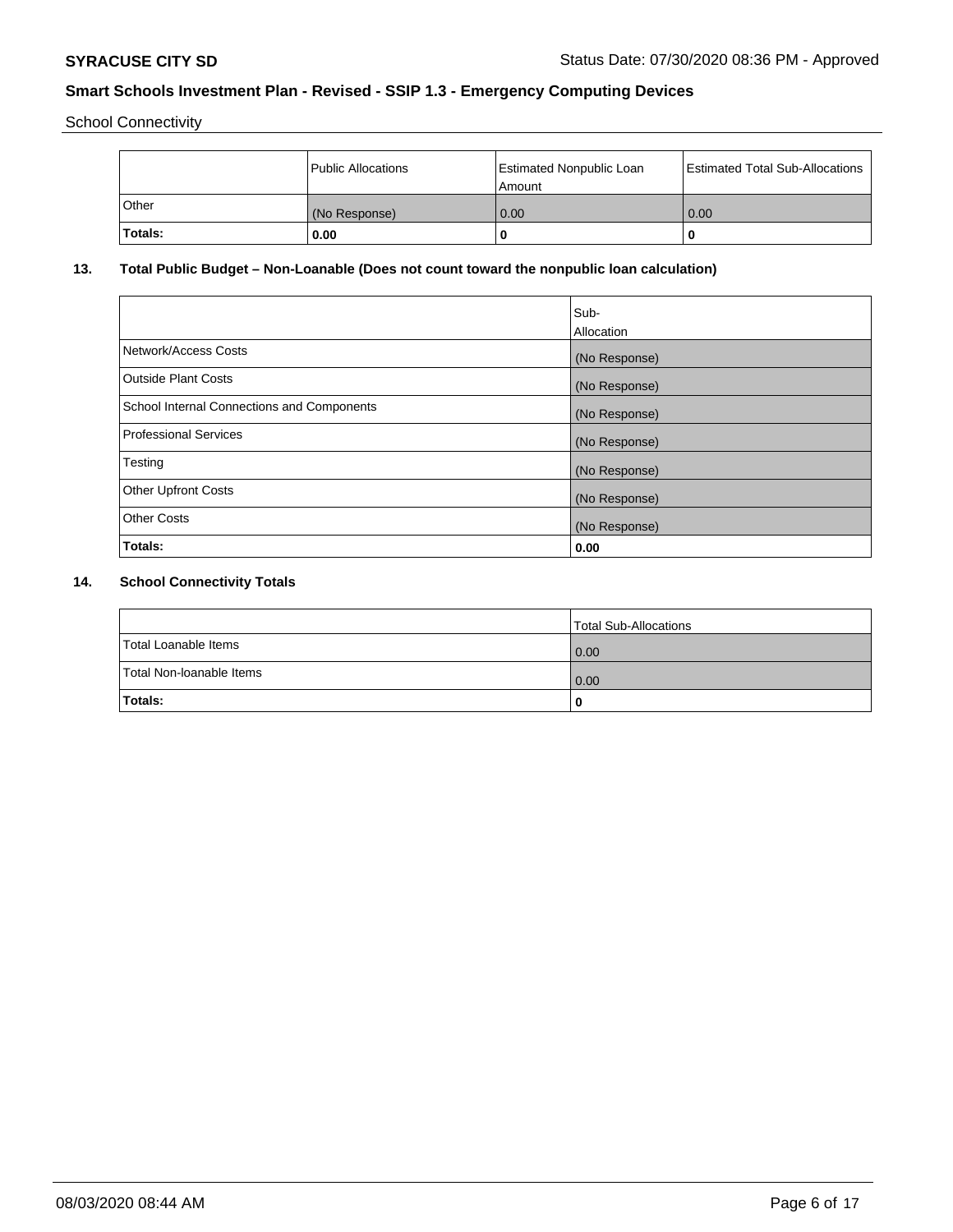School Connectivity

|         | <b>Public Allocations</b> | <b>Estimated Nonpublic Loan</b><br>Amount | <b>Estimated Total Sub-Allocations</b> |
|---------|---------------------------|-------------------------------------------|----------------------------------------|
| Other   | (No Response)             | 0.00                                      | 0.00                                   |
| Totals: | 0.00                      |                                           | 0                                      |

# **13. Total Public Budget – Non-Loanable (Does not count toward the nonpublic loan calculation)**

| Sub-<br>Allocation |
|--------------------|
| (No Response)      |
| (No Response)      |
| (No Response)      |
| (No Response)      |
| (No Response)      |
| (No Response)      |
| (No Response)      |
| 0.00               |
|                    |

# **14. School Connectivity Totals**

|                          | Total Sub-Allocations |
|--------------------------|-----------------------|
| Total Loanable Items     | 0.00                  |
| Total Non-Ioanable Items | 0.00                  |
| Totals:                  | 0                     |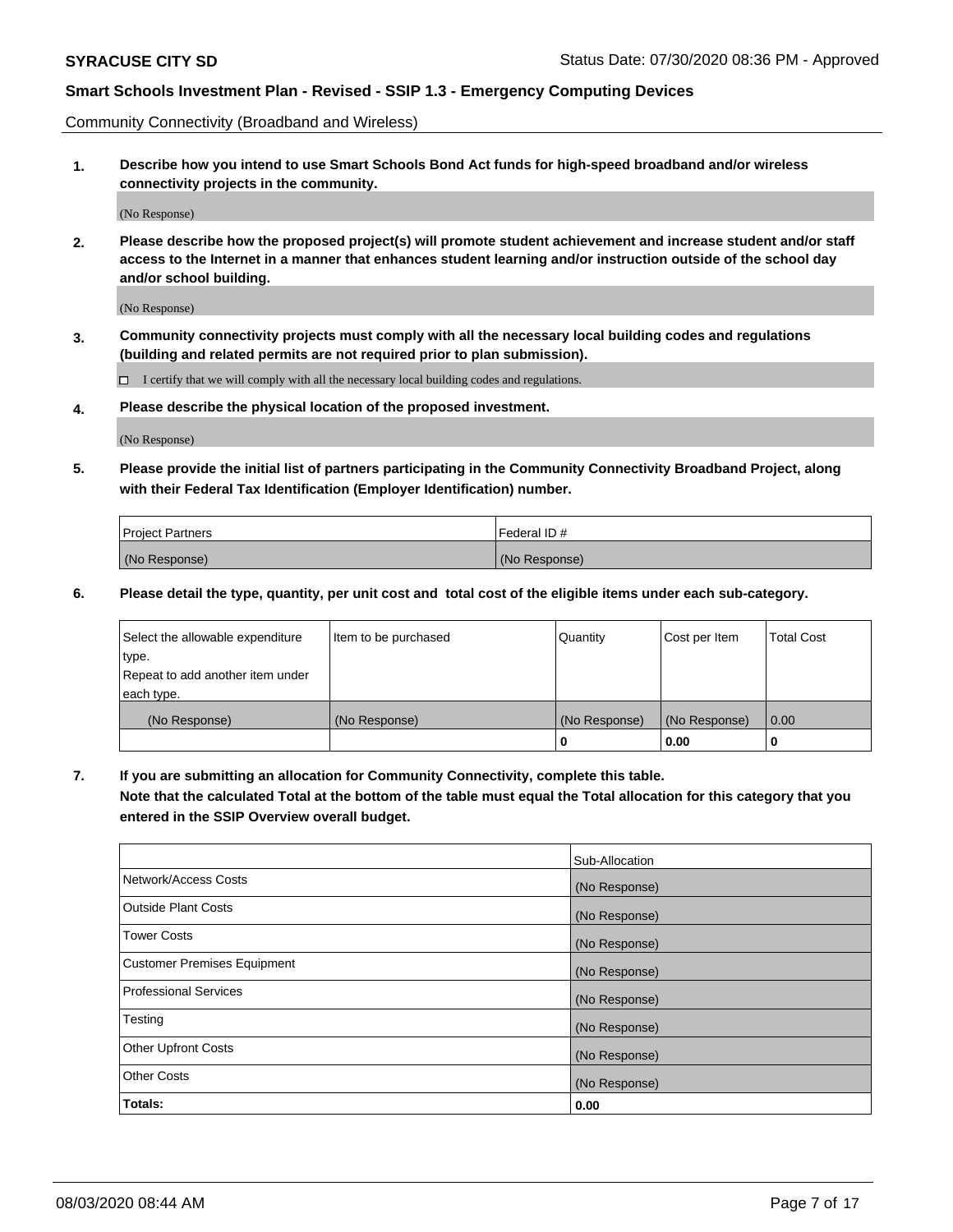Community Connectivity (Broadband and Wireless)

**1. Describe how you intend to use Smart Schools Bond Act funds for high-speed broadband and/or wireless connectivity projects in the community.**

(No Response)

**2. Please describe how the proposed project(s) will promote student achievement and increase student and/or staff access to the Internet in a manner that enhances student learning and/or instruction outside of the school day and/or school building.**

(No Response)

**3. Community connectivity projects must comply with all the necessary local building codes and regulations (building and related permits are not required prior to plan submission).**

 $\Box$  I certify that we will comply with all the necessary local building codes and regulations.

**4. Please describe the physical location of the proposed investment.**

(No Response)

**5. Please provide the initial list of partners participating in the Community Connectivity Broadband Project, along with their Federal Tax Identification (Employer Identification) number.**

| <b>Project Partners</b> | l Federal ID # |
|-------------------------|----------------|
| (No Response)           | (No Response)  |

**6. Please detail the type, quantity, per unit cost and total cost of the eligible items under each sub-category.**

| Select the allowable expenditure | Item to be purchased | Quantity      | Cost per Item | <b>Total Cost</b> |
|----------------------------------|----------------------|---------------|---------------|-------------------|
| type.                            |                      |               |               |                   |
| Repeat to add another item under |                      |               |               |                   |
| each type.                       |                      |               |               |                   |
| (No Response)                    | (No Response)        | (No Response) | (No Response) | 0.00              |
|                                  |                      | o             | 0.00          |                   |

**7. If you are submitting an allocation for Community Connectivity, complete this table.**

**Note that the calculated Total at the bottom of the table must equal the Total allocation for this category that you entered in the SSIP Overview overall budget.**

|                                    | Sub-Allocation |
|------------------------------------|----------------|
| Network/Access Costs               | (No Response)  |
| Outside Plant Costs                | (No Response)  |
| <b>Tower Costs</b>                 | (No Response)  |
| <b>Customer Premises Equipment</b> | (No Response)  |
| <b>Professional Services</b>       | (No Response)  |
| Testing                            | (No Response)  |
| <b>Other Upfront Costs</b>         | (No Response)  |
| <b>Other Costs</b>                 | (No Response)  |
| Totals:                            | 0.00           |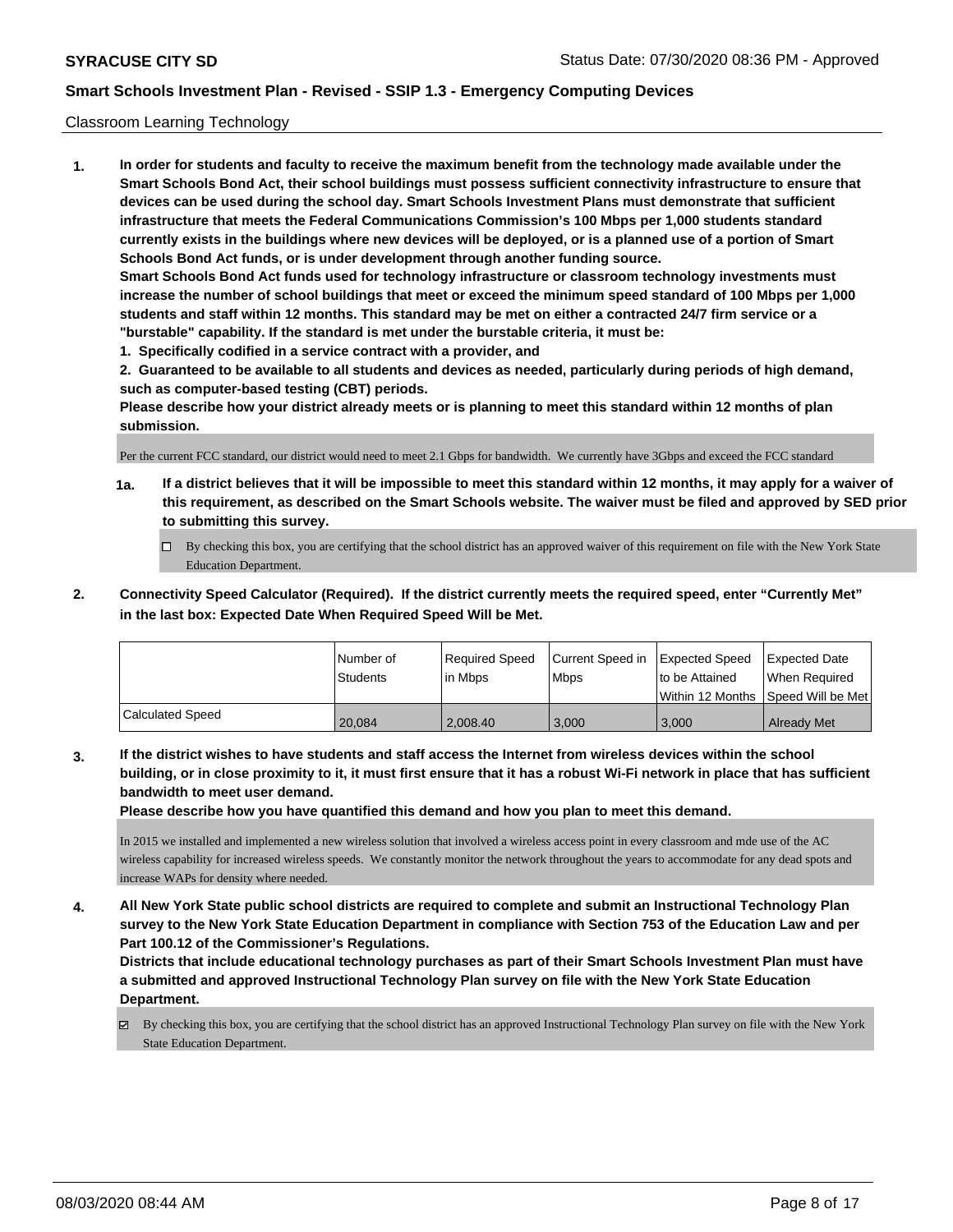### Classroom Learning Technology

**1. In order for students and faculty to receive the maximum benefit from the technology made available under the Smart Schools Bond Act, their school buildings must possess sufficient connectivity infrastructure to ensure that devices can be used during the school day. Smart Schools Investment Plans must demonstrate that sufficient infrastructure that meets the Federal Communications Commission's 100 Mbps per 1,000 students standard currently exists in the buildings where new devices will be deployed, or is a planned use of a portion of Smart Schools Bond Act funds, or is under development through another funding source. Smart Schools Bond Act funds used for technology infrastructure or classroom technology investments must increase the number of school buildings that meet or exceed the minimum speed standard of 100 Mbps per 1,000 students and staff within 12 months. This standard may be met on either a contracted 24/7 firm service or a "burstable" capability. If the standard is met under the burstable criteria, it must be:**

**1. Specifically codified in a service contract with a provider, and**

**2. Guaranteed to be available to all students and devices as needed, particularly during periods of high demand, such as computer-based testing (CBT) periods.**

**Please describe how your district already meets or is planning to meet this standard within 12 months of plan submission.**

Per the current FCC standard, our district would need to meet 2.1 Gbps for bandwidth. We currently have 3Gbps and exceed the FCC standard

- **1a. If a district believes that it will be impossible to meet this standard within 12 months, it may apply for a waiver of this requirement, as described on the Smart Schools website. The waiver must be filed and approved by SED prior to submitting this survey.**
	- By checking this box, you are certifying that the school district has an approved waiver of this requirement on file with the New York State Education Department.
- **2. Connectivity Speed Calculator (Required). If the district currently meets the required speed, enter "Currently Met" in the last box: Expected Date When Required Speed Will be Met.**

|                  | l Number of     | Required Speed | Current Speed in Expected Speed |                | <b>Expected Date</b>                 |
|------------------|-----------------|----------------|---------------------------------|----------------|--------------------------------------|
|                  | <b>Students</b> | l in Mbps      | <b>Mbps</b>                     | to be Attained | When Required                        |
|                  |                 |                |                                 |                | Within 12 Months 1Speed Will be Met1 |
| Calculated Speed | 20.084          | 2.008.40       | 3.000                           | 3,000          | <b>Already Met</b>                   |

**3. If the district wishes to have students and staff access the Internet from wireless devices within the school building, or in close proximity to it, it must first ensure that it has a robust Wi-Fi network in place that has sufficient bandwidth to meet user demand.**

**Please describe how you have quantified this demand and how you plan to meet this demand.**

In 2015 we installed and implemented a new wireless solution that involved a wireless access point in every classroom and mde use of the AC wireless capability for increased wireless speeds. We constantly monitor the network throughout the years to accommodate for any dead spots and increase WAPs for density where needed.

**4. All New York State public school districts are required to complete and submit an Instructional Technology Plan survey to the New York State Education Department in compliance with Section 753 of the Education Law and per Part 100.12 of the Commissioner's Regulations.**

**Districts that include educational technology purchases as part of their Smart Schools Investment Plan must have a submitted and approved Instructional Technology Plan survey on file with the New York State Education Department.**

By checking this box, you are certifying that the school district has an approved Instructional Technology Plan survey on file with the New York State Education Department.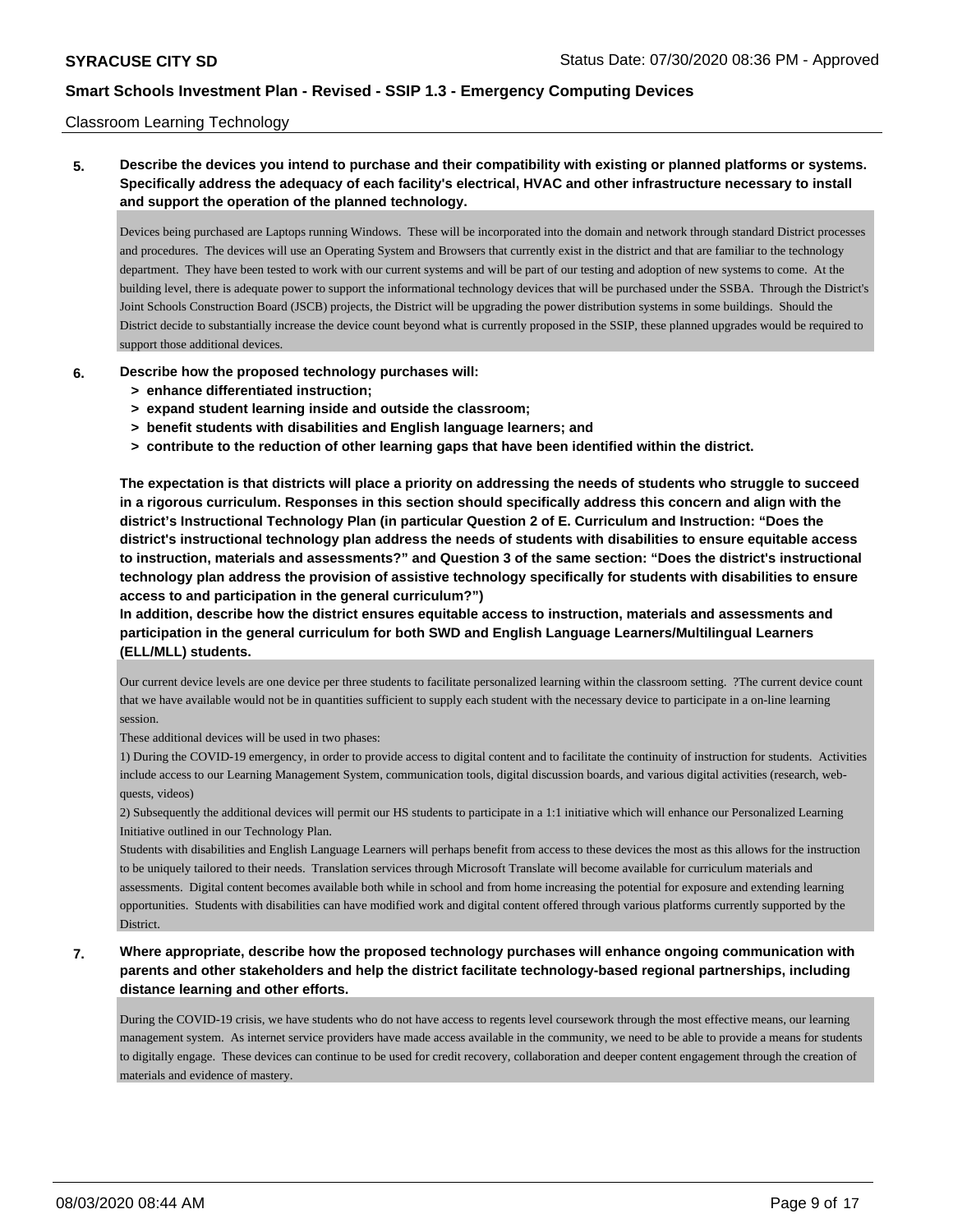### Classroom Learning Technology

# **5. Describe the devices you intend to purchase and their compatibility with existing or planned platforms or systems. Specifically address the adequacy of each facility's electrical, HVAC and other infrastructure necessary to install and support the operation of the planned technology.**

Devices being purchased are Laptops running Windows. These will be incorporated into the domain and network through standard District processes and procedures. The devices will use an Operating System and Browsers that currently exist in the district and that are familiar to the technology department. They have been tested to work with our current systems and will be part of our testing and adoption of new systems to come. At the building level, there is adequate power to support the informational technology devices that will be purchased under the SSBA. Through the District's Joint Schools Construction Board (JSCB) projects, the District will be upgrading the power distribution systems in some buildings. Should the District decide to substantially increase the device count beyond what is currently proposed in the SSIP, these planned upgrades would be required to support those additional devices.

### **6. Describe how the proposed technology purchases will:**

- **> enhance differentiated instruction;**
- **> expand student learning inside and outside the classroom;**
- **> benefit students with disabilities and English language learners; and**
- **> contribute to the reduction of other learning gaps that have been identified within the district.**

**The expectation is that districts will place a priority on addressing the needs of students who struggle to succeed in a rigorous curriculum. Responses in this section should specifically address this concern and align with the district's Instructional Technology Plan (in particular Question 2 of E. Curriculum and Instruction: "Does the district's instructional technology plan address the needs of students with disabilities to ensure equitable access to instruction, materials and assessments?" and Question 3 of the same section: "Does the district's instructional technology plan address the provision of assistive technology specifically for students with disabilities to ensure access to and participation in the general curriculum?")**

**In addition, describe how the district ensures equitable access to instruction, materials and assessments and participation in the general curriculum for both SWD and English Language Learners/Multilingual Learners (ELL/MLL) students.**

Our current device levels are one device per three students to facilitate personalized learning within the classroom setting. ?The current device count that we have available would not be in quantities sufficient to supply each student with the necessary device to participate in a on-line learning session.

These additional devices will be used in two phases:

1) During the COVID-19 emergency, in order to provide access to digital content and to facilitate the continuity of instruction for students. Activities include access to our Learning Management System, communication tools, digital discussion boards, and various digital activities (research, webquests, videos)

2) Subsequently the additional devices will permit our HS students to participate in a 1:1 initiative which will enhance our Personalized Learning Initiative outlined in our Technology Plan.

Students with disabilities and English Language Learners will perhaps benefit from access to these devices the most as this allows for the instruction to be uniquely tailored to their needs. Translation services through Microsoft Translate will become available for curriculum materials and assessments. Digital content becomes available both while in school and from home increasing the potential for exposure and extending learning opportunities. Students with disabilities can have modified work and digital content offered through various platforms currently supported by the District.

**7. Where appropriate, describe how the proposed technology purchases will enhance ongoing communication with parents and other stakeholders and help the district facilitate technology-based regional partnerships, including distance learning and other efforts.**

During the COVID-19 crisis, we have students who do not have access to regents level coursework through the most effective means, our learning management system. As internet service providers have made access available in the community, we need to be able to provide a means for students to digitally engage. These devices can continue to be used for credit recovery, collaboration and deeper content engagement through the creation of materials and evidence of mastery.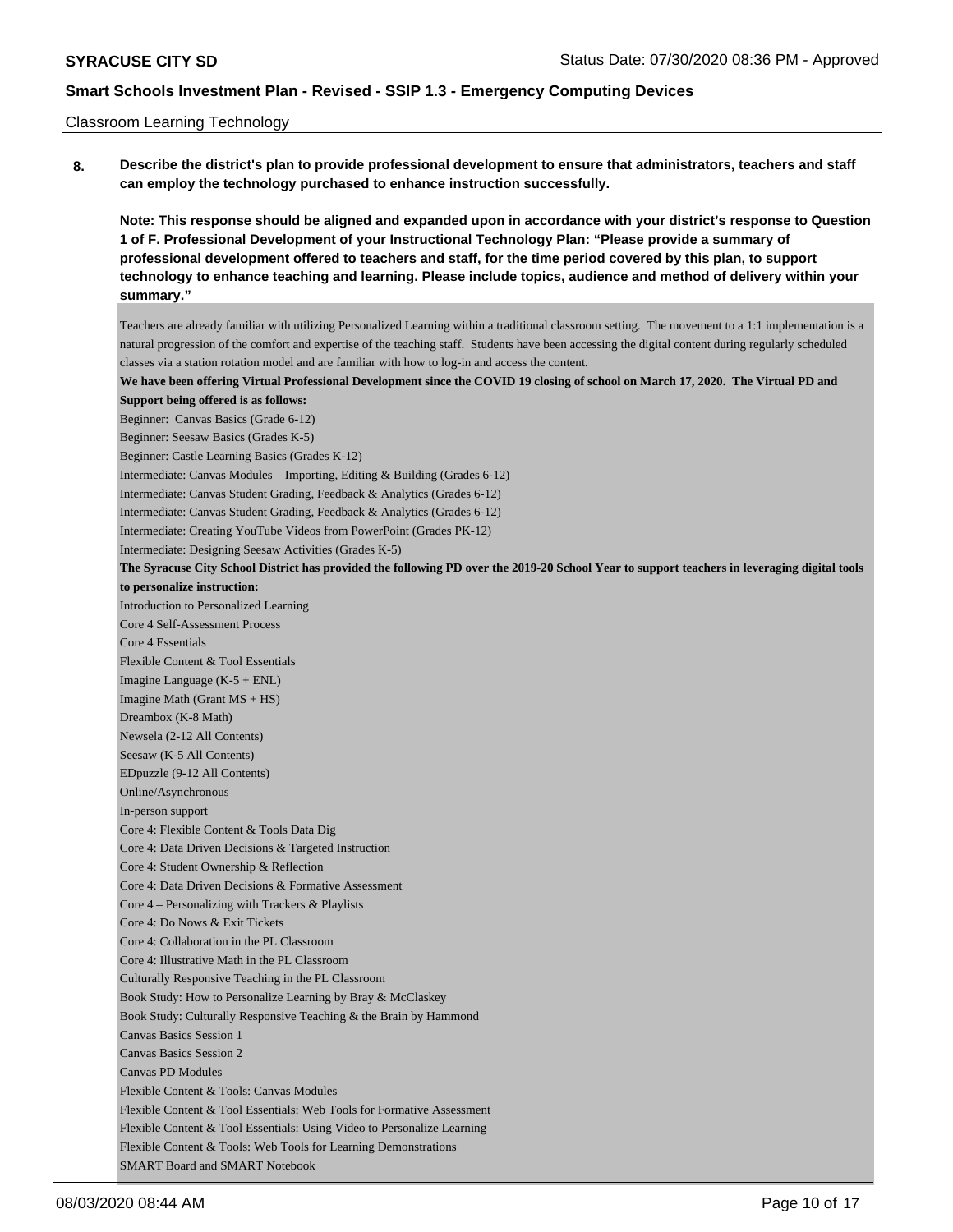#### Classroom Learning Technology

**8. Describe the district's plan to provide professional development to ensure that administrators, teachers and staff can employ the technology purchased to enhance instruction successfully.**

**Note: This response should be aligned and expanded upon in accordance with your district's response to Question 1 of F. Professional Development of your Instructional Technology Plan: "Please provide a summary of professional development offered to teachers and staff, for the time period covered by this plan, to support technology to enhance teaching and learning. Please include topics, audience and method of delivery within your summary."**

Teachers are already familiar with utilizing Personalized Learning within a traditional classroom setting. The movement to a 1:1 implementation is a natural progression of the comfort and expertise of the teaching staff. Students have been accessing the digital content during regularly scheduled classes via a station rotation model and are familiar with how to log-in and access the content.

**We have been offering Virtual Professional Development since the COVID 19 closing of school on March 17, 2020. The Virtual PD and Support being offered is as follows:**

Beginner: Canvas Basics (Grade 6-12)

Beginner: Seesaw Basics (Grades K-5)

Beginner: Castle Learning Basics (Grades K-12)

Intermediate: Canvas Modules – Importing, Editing & Building (Grades 6-12)

Intermediate: Canvas Student Grading, Feedback & Analytics (Grades 6-12)

Intermediate: Canvas Student Grading, Feedback & Analytics (Grades 6-12)

Intermediate: Creating YouTube Videos from PowerPoint (Grades PK-12)

Intermediate: Designing Seesaw Activities (Grades K-5)

**The Syracuse City School District has provided the following PD over the 2019-20 School Year to support teachers in leveraging digital tools to personalize instruction:**

Introduction to Personalized Learning

Core 4 Self-Assessment Process Core 4 Essentials

Flexible Content & Tool Essentials

Imagine Language (K-5 + ENL)

Imagine Math (Grant MS + HS)

Dreambox (K-8 Math)

Newsela (2-12 All Contents)

Seesaw (K-5 All Contents)

EDpuzzle (9-12 All Contents)

Online/Asynchronous

In-person support Core 4: Flexible Content & Tools Data Dig

Core 4: Data Driven Decisions & Targeted Instruction

Core 4: Student Ownership & Reflection

Core 4: Data Driven Decisions & Formative Assessment

Core 4 – Personalizing with Trackers & Playlists

Core 4: Do Nows & Exit Tickets

Core 4: Collaboration in the PL Classroom

Core 4: Illustrative Math in the PL Classroom

Culturally Responsive Teaching in the PL Classroom

Book Study: How to Personalize Learning by Bray & McClaskey

Book Study: Culturally Responsive Teaching & the Brain by Hammond

Canvas Basics Session 1

Canvas Basics Session 2

Canvas PD Modules

Flexible Content & Tools: Canvas Modules

Flexible Content & Tool Essentials: Web Tools for Formative Assessment

Flexible Content & Tool Essentials: Using Video to Personalize Learning

Flexible Content & Tools: Web Tools for Learning Demonstrations

SMART Board and SMART Notebook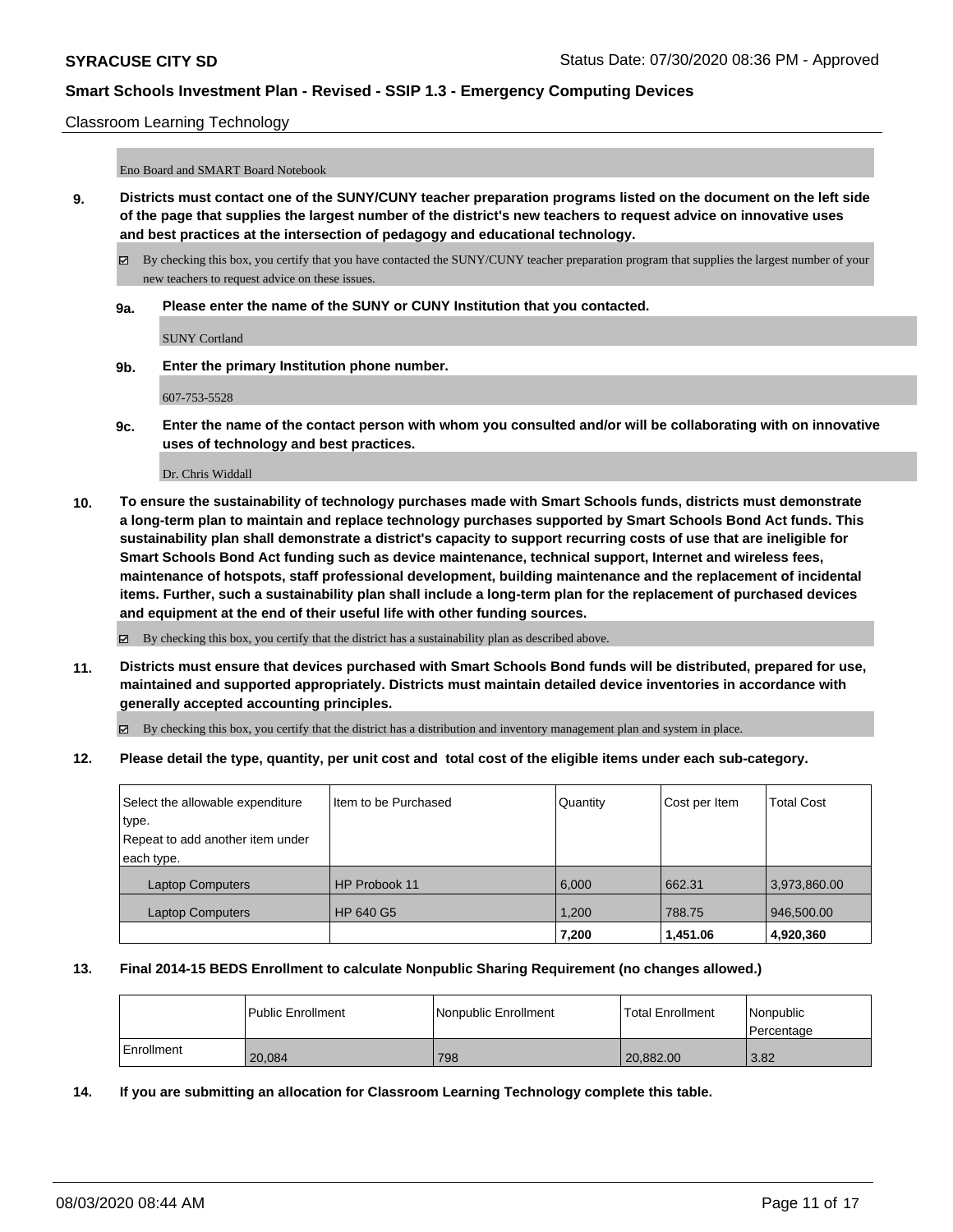### Classroom Learning Technology

Eno Board and SMART Board Notebook

- **9. Districts must contact one of the SUNY/CUNY teacher preparation programs listed on the document on the left side of the page that supplies the largest number of the district's new teachers to request advice on innovative uses and best practices at the intersection of pedagogy and educational technology.**
	- By checking this box, you certify that you have contacted the SUNY/CUNY teacher preparation program that supplies the largest number of your new teachers to request advice on these issues.
	- **9a. Please enter the name of the SUNY or CUNY Institution that you contacted.**

SUNY Cortland

**9b. Enter the primary Institution phone number.**

607-753-5528

**9c. Enter the name of the contact person with whom you consulted and/or will be collaborating with on innovative uses of technology and best practices.**

Dr. Chris Widdall

**10. To ensure the sustainability of technology purchases made with Smart Schools funds, districts must demonstrate a long-term plan to maintain and replace technology purchases supported by Smart Schools Bond Act funds. This sustainability plan shall demonstrate a district's capacity to support recurring costs of use that are ineligible for Smart Schools Bond Act funding such as device maintenance, technical support, Internet and wireless fees, maintenance of hotspots, staff professional development, building maintenance and the replacement of incidental items. Further, such a sustainability plan shall include a long-term plan for the replacement of purchased devices and equipment at the end of their useful life with other funding sources.**

By checking this box, you certify that the district has a sustainability plan as described above.

**11. Districts must ensure that devices purchased with Smart Schools Bond funds will be distributed, prepared for use, maintained and supported appropriately. Districts must maintain detailed device inventories in accordance with generally accepted accounting principles.**

By checking this box, you certify that the district has a distribution and inventory management plan and system in place.

### **12. Please detail the type, quantity, per unit cost and total cost of the eligible items under each sub-category.**

| Select the allowable expenditure | Item to be Purchased | Quantity | Cost per Item | <b>Total Cost</b> |
|----------------------------------|----------------------|----------|---------------|-------------------|
| type.                            |                      |          |               |                   |
| Repeat to add another item under |                      |          |               |                   |
| each type.                       |                      |          |               |                   |
| <b>Laptop Computers</b>          | HP Probook 11        | 6.000    | 662.31        | 3,973,860.00      |
| <b>Laptop Computers</b>          | HP 640 G5            | 1,200    | 788.75        | 946,500.00        |
|                                  |                      | 7,200    | 1,451.06      | 4,920,360         |

#### **13. Final 2014-15 BEDS Enrollment to calculate Nonpublic Sharing Requirement (no changes allowed.)**

|            | <b>Public Enrollment</b> | Nonpublic Enrollment | Total Enrollment | <i>Nonpublic</i><br>l Percentage |
|------------|--------------------------|----------------------|------------------|----------------------------------|
| Enrollment | 20.084                   | 798                  | 20.882.00        | 3.82                             |

**14. If you are submitting an allocation for Classroom Learning Technology complete this table.**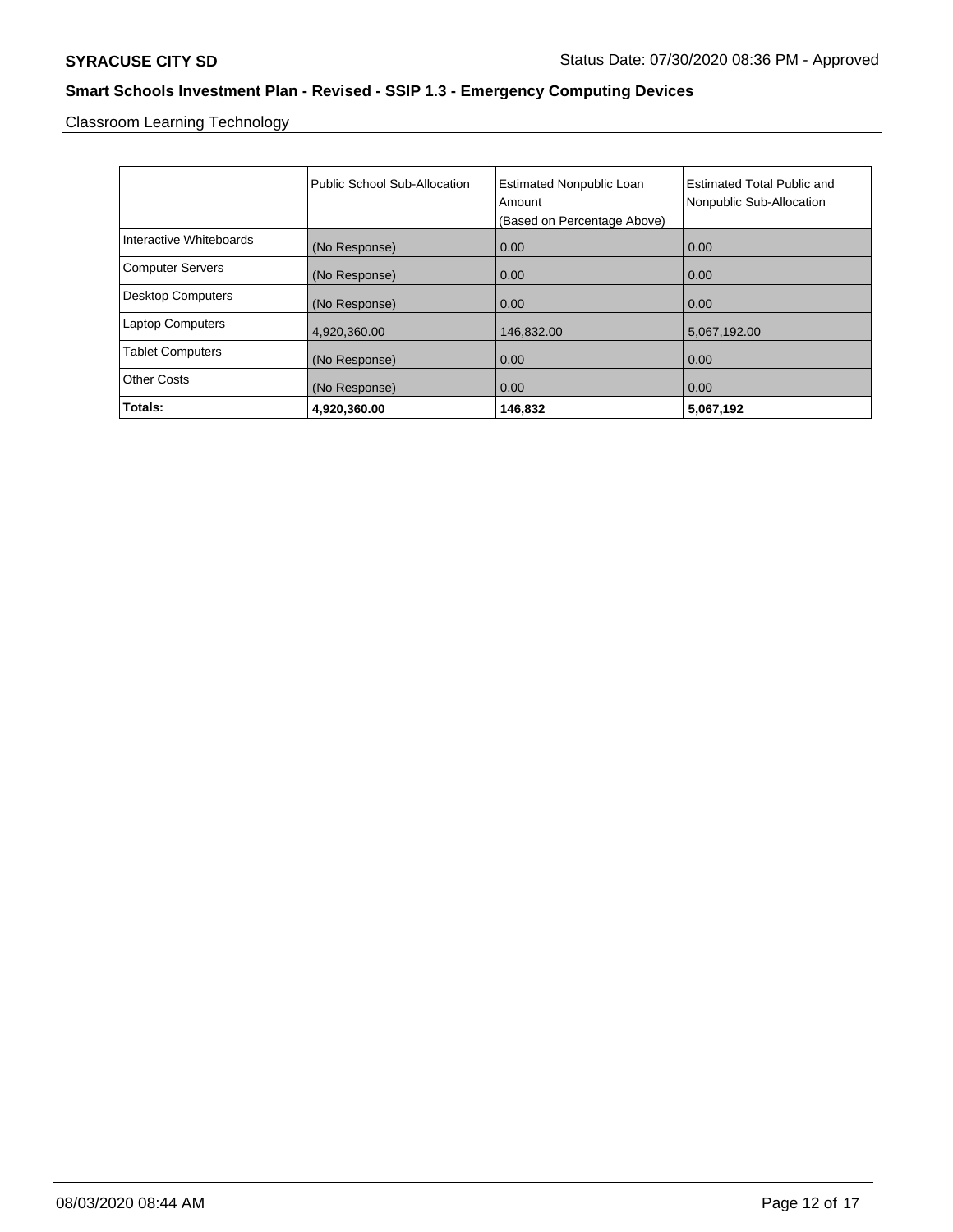Classroom Learning Technology

|                          | Public School Sub-Allocation | <b>Estimated Nonpublic Loan</b><br>Amount<br>(Based on Percentage Above) | Estimated Total Public and<br>Nonpublic Sub-Allocation |
|--------------------------|------------------------------|--------------------------------------------------------------------------|--------------------------------------------------------|
| Interactive Whiteboards  | (No Response)                | 0.00                                                                     | 0.00                                                   |
| <b>Computer Servers</b>  | (No Response)                | 0.00                                                                     | 0.00                                                   |
| <b>Desktop Computers</b> | (No Response)                | 0.00                                                                     | 0.00                                                   |
| <b>Laptop Computers</b>  | 4,920,360.00                 | 146,832.00                                                               | 5,067,192.00                                           |
| <b>Tablet Computers</b>  | (No Response)                | 0.00                                                                     | 0.00                                                   |
| <b>Other Costs</b>       | (No Response)                | 0.00                                                                     | 0.00                                                   |
| Totals:                  | 4,920,360.00                 | 146,832                                                                  | 5,067,192                                              |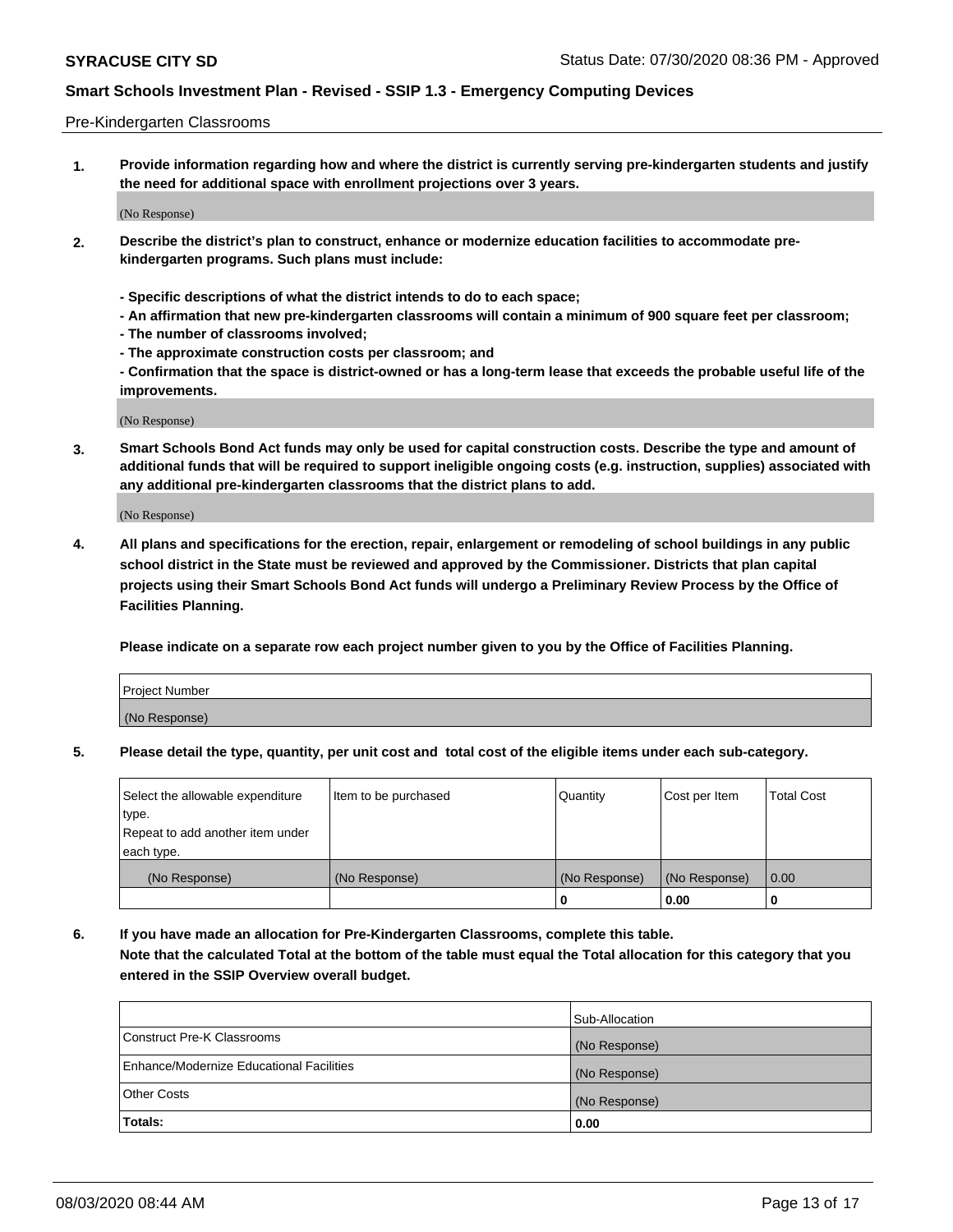### Pre-Kindergarten Classrooms

**1. Provide information regarding how and where the district is currently serving pre-kindergarten students and justify the need for additional space with enrollment projections over 3 years.**

(No Response)

- **2. Describe the district's plan to construct, enhance or modernize education facilities to accommodate prekindergarten programs. Such plans must include:**
	- **Specific descriptions of what the district intends to do to each space;**
	- **An affirmation that new pre-kindergarten classrooms will contain a minimum of 900 square feet per classroom;**
	- **The number of classrooms involved;**
	- **The approximate construction costs per classroom; and**
	- **Confirmation that the space is district-owned or has a long-term lease that exceeds the probable useful life of the improvements.**

(No Response)

**3. Smart Schools Bond Act funds may only be used for capital construction costs. Describe the type and amount of additional funds that will be required to support ineligible ongoing costs (e.g. instruction, supplies) associated with any additional pre-kindergarten classrooms that the district plans to add.**

(No Response)

**4. All plans and specifications for the erection, repair, enlargement or remodeling of school buildings in any public school district in the State must be reviewed and approved by the Commissioner. Districts that plan capital projects using their Smart Schools Bond Act funds will undergo a Preliminary Review Process by the Office of Facilities Planning.**

**Please indicate on a separate row each project number given to you by the Office of Facilities Planning.**

| Project Number |  |
|----------------|--|
| (No Response)  |  |
|                |  |

**5. Please detail the type, quantity, per unit cost and total cost of the eligible items under each sub-category.**

| Select the allowable expenditure | Item to be purchased | Quantity      | Cost per Item | <b>Total Cost</b> |
|----------------------------------|----------------------|---------------|---------------|-------------------|
| type.                            |                      |               |               |                   |
| Repeat to add another item under |                      |               |               |                   |
| each type.                       |                      |               |               |                   |
| (No Response)                    | (No Response)        | (No Response) | (No Response) | 0.00              |
|                                  |                      | U             | 0.00          |                   |

**6. If you have made an allocation for Pre-Kindergarten Classrooms, complete this table. Note that the calculated Total at the bottom of the table must equal the Total allocation for this category that you entered in the SSIP Overview overall budget.**

|                                          | Sub-Allocation |
|------------------------------------------|----------------|
| Construct Pre-K Classrooms               | (No Response)  |
| Enhance/Modernize Educational Facilities | (No Response)  |
| <b>Other Costs</b>                       | (No Response)  |
| Totals:                                  | 0.00           |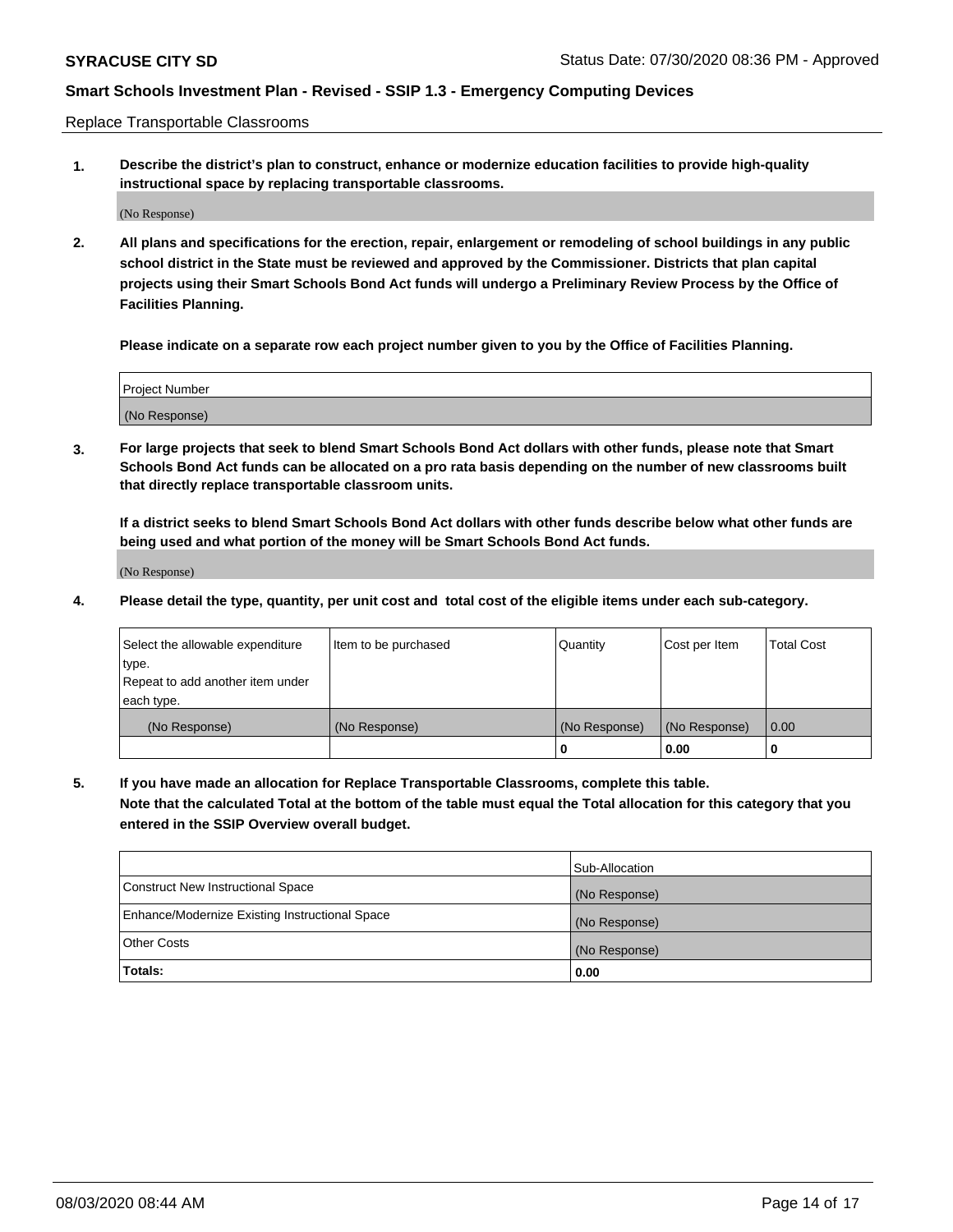Replace Transportable Classrooms

**1. Describe the district's plan to construct, enhance or modernize education facilities to provide high-quality instructional space by replacing transportable classrooms.**

(No Response)

**2. All plans and specifications for the erection, repair, enlargement or remodeling of school buildings in any public school district in the State must be reviewed and approved by the Commissioner. Districts that plan capital projects using their Smart Schools Bond Act funds will undergo a Preliminary Review Process by the Office of Facilities Planning.**

**Please indicate on a separate row each project number given to you by the Office of Facilities Planning.**

| Project Number |  |
|----------------|--|
|                |  |
|                |  |
|                |  |
| (No Response)  |  |
|                |  |
|                |  |

**3. For large projects that seek to blend Smart Schools Bond Act dollars with other funds, please note that Smart Schools Bond Act funds can be allocated on a pro rata basis depending on the number of new classrooms built that directly replace transportable classroom units.**

**If a district seeks to blend Smart Schools Bond Act dollars with other funds describe below what other funds are being used and what portion of the money will be Smart Schools Bond Act funds.**

(No Response)

**4. Please detail the type, quantity, per unit cost and total cost of the eligible items under each sub-category.**

| Select the allowable expenditure | Item to be purchased | Quantity      | Cost per Item | Total Cost |
|----------------------------------|----------------------|---------------|---------------|------------|
| ∣type.                           |                      |               |               |            |
| Repeat to add another item under |                      |               |               |            |
| each type.                       |                      |               |               |            |
| (No Response)                    | (No Response)        | (No Response) | (No Response) | 0.00       |
|                                  |                      | u             | 0.00          |            |

**5. If you have made an allocation for Replace Transportable Classrooms, complete this table. Note that the calculated Total at the bottom of the table must equal the Total allocation for this category that you entered in the SSIP Overview overall budget.**

|                                                | Sub-Allocation |
|------------------------------------------------|----------------|
| Construct New Instructional Space              | (No Response)  |
| Enhance/Modernize Existing Instructional Space | (No Response)  |
| Other Costs                                    | (No Response)  |
| Totals:                                        | 0.00           |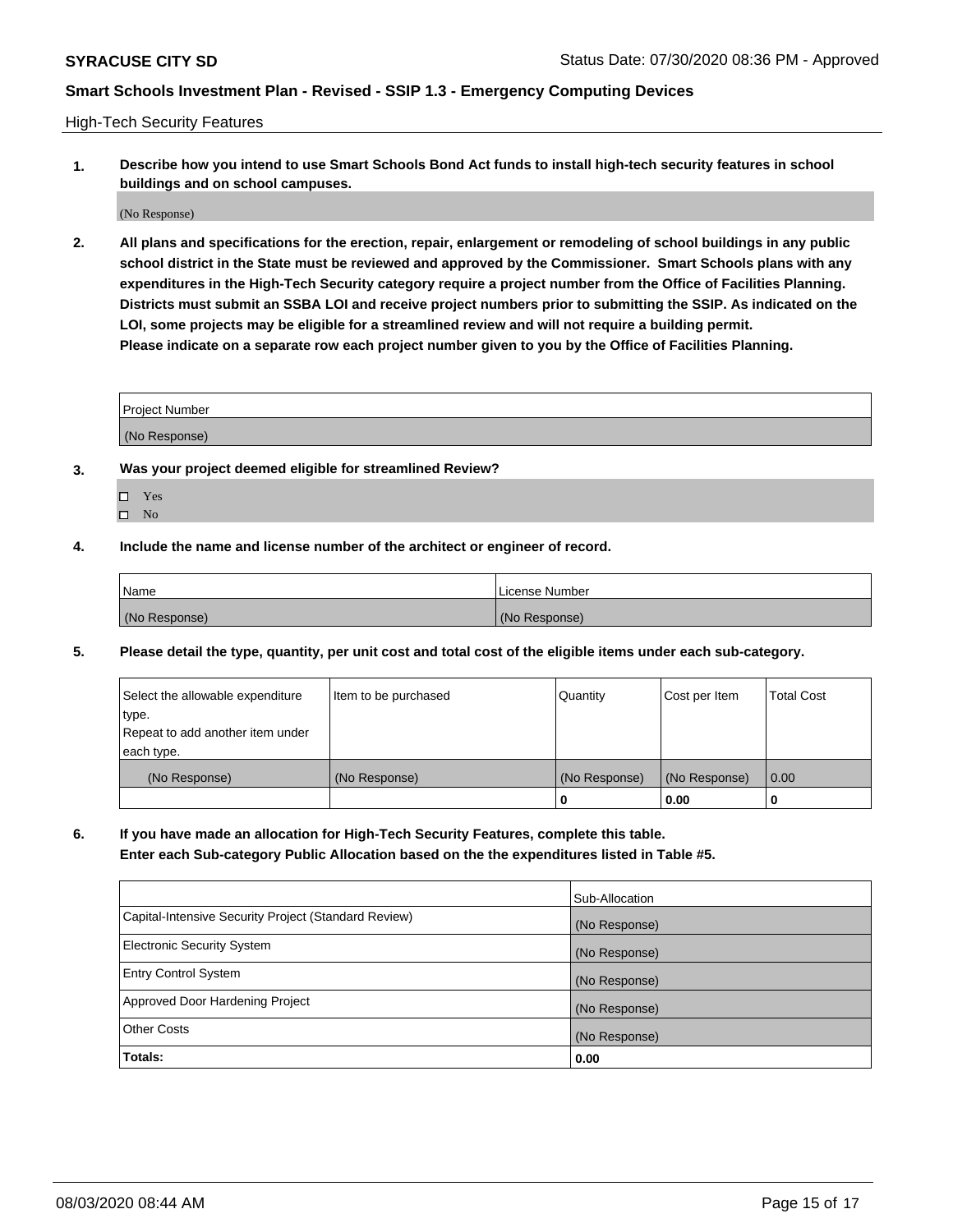High-Tech Security Features

**1. Describe how you intend to use Smart Schools Bond Act funds to install high-tech security features in school buildings and on school campuses.**

(No Response)

**2. All plans and specifications for the erection, repair, enlargement or remodeling of school buildings in any public school district in the State must be reviewed and approved by the Commissioner. Smart Schools plans with any expenditures in the High-Tech Security category require a project number from the Office of Facilities Planning. Districts must submit an SSBA LOI and receive project numbers prior to submitting the SSIP. As indicated on the LOI, some projects may be eligible for a streamlined review and will not require a building permit. Please indicate on a separate row each project number given to you by the Office of Facilities Planning.**

| <b>Project Number</b> |  |
|-----------------------|--|
| (No Response)         |  |

- **3. Was your project deemed eligible for streamlined Review?**
	- Yes
	- $\hfill \square$  No
- **4. Include the name and license number of the architect or engineer of record.**

| <b>Name</b>   | License Number |
|---------------|----------------|
| (No Response) | (No Response)  |

**5. Please detail the type, quantity, per unit cost and total cost of the eligible items under each sub-category.**

| Select the allowable expenditure | Item to be purchased | Quantity      | Cost per Item | <b>Total Cost</b> |
|----------------------------------|----------------------|---------------|---------------|-------------------|
| type.                            |                      |               |               |                   |
| Repeat to add another item under |                      |               |               |                   |
| each type.                       |                      |               |               |                   |
| (No Response)                    | (No Response)        | (No Response) | (No Response) | 0.00              |
|                                  |                      | 0             | 0.00          |                   |

**6. If you have made an allocation for High-Tech Security Features, complete this table.**

**Enter each Sub-category Public Allocation based on the the expenditures listed in Table #5.**

|                                                      | Sub-Allocation |
|------------------------------------------------------|----------------|
| Capital-Intensive Security Project (Standard Review) | (No Response)  |
| <b>Electronic Security System</b>                    | (No Response)  |
| <b>Entry Control System</b>                          | (No Response)  |
| Approved Door Hardening Project                      | (No Response)  |
| <b>Other Costs</b>                                   | (No Response)  |
| Totals:                                              | 0.00           |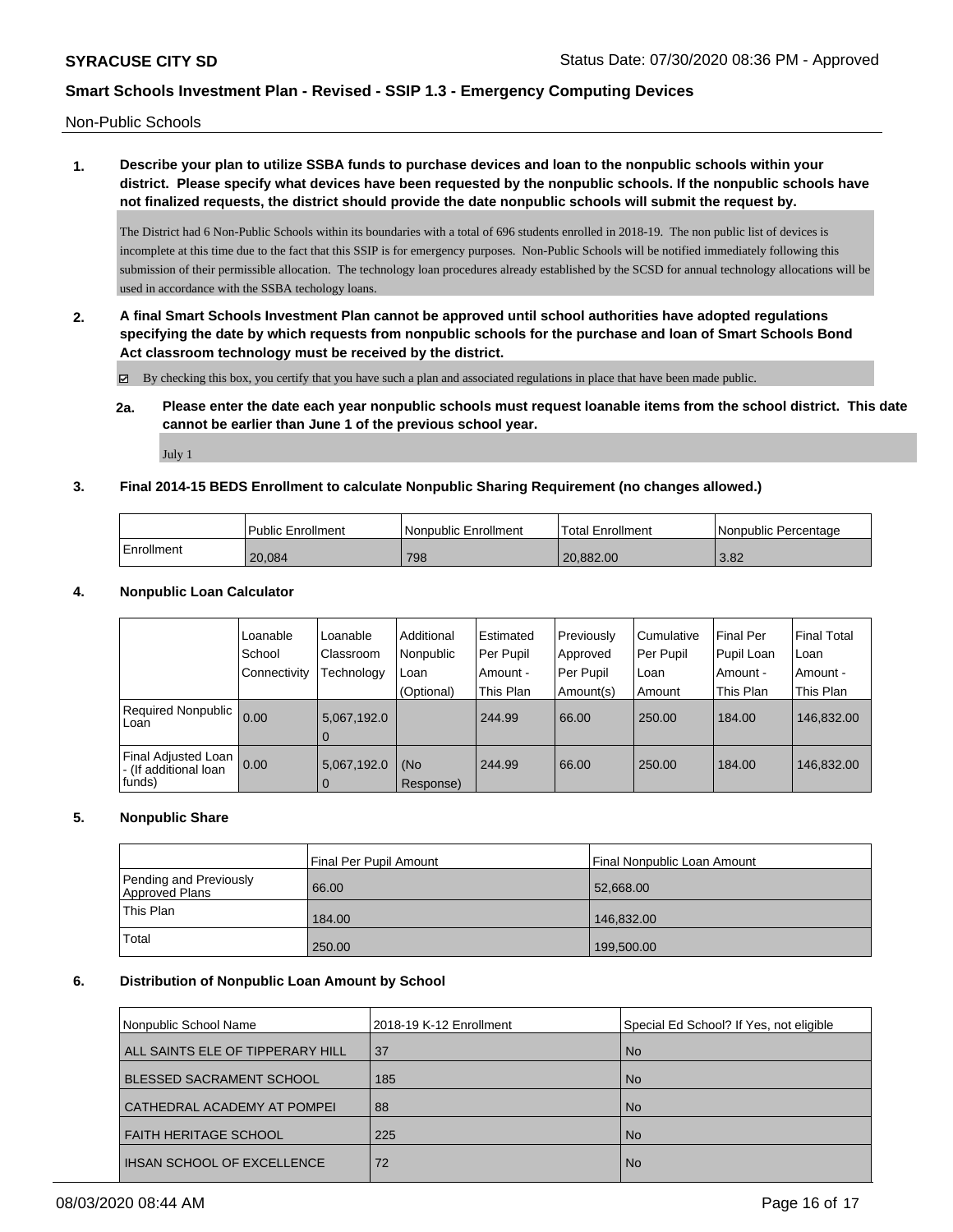Non-Public Schools

# **1. Describe your plan to utilize SSBA funds to purchase devices and loan to the nonpublic schools within your district. Please specify what devices have been requested by the nonpublic schools. If the nonpublic schools have not finalized requests, the district should provide the date nonpublic schools will submit the request by.**

The District had 6 Non-Public Schools within its boundaries with a total of 696 students enrolled in 2018-19. The non public list of devices is incomplete at this time due to the fact that this SSIP is for emergency purposes. Non-Public Schools will be notified immediately following this submission of their permissible allocation. The technology loan procedures already established by the SCSD for annual technology allocations will be used in accordance with the SSBA techology loans.

**2. A final Smart Schools Investment Plan cannot be approved until school authorities have adopted regulations specifying the date by which requests from nonpublic schools for the purchase and loan of Smart Schools Bond Act classroom technology must be received by the district.**

By checking this box, you certify that you have such a plan and associated regulations in place that have been made public.

**2a. Please enter the date each year nonpublic schools must request loanable items from the school district. This date cannot be earlier than June 1 of the previous school year.**

July 1

### **3. Final 2014-15 BEDS Enrollment to calculate Nonpublic Sharing Requirement (no changes allowed.)**

|            | <b>Public Enrollment</b> | l Nonpublic Enrollment | Total Enrollment | Nonpublic Percentage |
|------------|--------------------------|------------------------|------------------|----------------------|
| Enrollment | 20,084                   | 798                    | 20,882.00        | 3.82                 |

### **4. Nonpublic Loan Calculator**

|                                                          | Loanable<br>School | Loanable<br>Classroom         | Additional<br>Nonpublic | Estimated<br>Per Pupil | Previously<br>Approved | Cumulative<br>Per Pupil | <b>Final Per</b><br>Pupil Loan | l Final Total<br>l Loan |
|----------------------------------------------------------|--------------------|-------------------------------|-------------------------|------------------------|------------------------|-------------------------|--------------------------------|-------------------------|
|                                                          | l Connectivity     | <b>Technology</b>             | Loan                    | Amount -               | Per Pupil              | l Loan                  | Amount -                       | Amount -                |
|                                                          |                    |                               | (Optional)              | This Plan              | Amount(s)              | Amount                  | This Plan                      | This Plan               |
| Required Nonpublic 0.00<br>Loan                          |                    | 5,067,192.0<br>0              |                         | 244.99                 | 66.00                  | 250.00                  | 184.00                         | 146,832.00              |
| Final Adjusted Loan<br>l - (If additional loan<br>funds) | 0.00               | 5,067,192.0<br>$\overline{0}$ | (No<br>Response)        | 244.99                 | 66.00                  | 250.00                  | 184.00                         | 146,832.00              |

### **5. Nonpublic Share**

|                                          | Final Per Pupil Amount | Final Nonpublic Loan Amount |
|------------------------------------------|------------------------|-----------------------------|
| Pending and Previously<br>Approved Plans | 66.00                  | 52,668.00                   |
| This Plan                                | 184.00                 | 146,832.00                  |
| Total                                    | 250.00                 | 199,500.00                  |

#### **6. Distribution of Nonpublic Loan Amount by School**

| 2018-19 K-12 Enrollment | Special Ed School? If Yes, not eligible |
|-------------------------|-----------------------------------------|
| 37                      | <b>No</b>                               |
| 185                     | <b>No</b>                               |
| 88                      | <b>No</b>                               |
| 225                     | <b>No</b>                               |
| 72                      | <b>No</b>                               |
|                         |                                         |